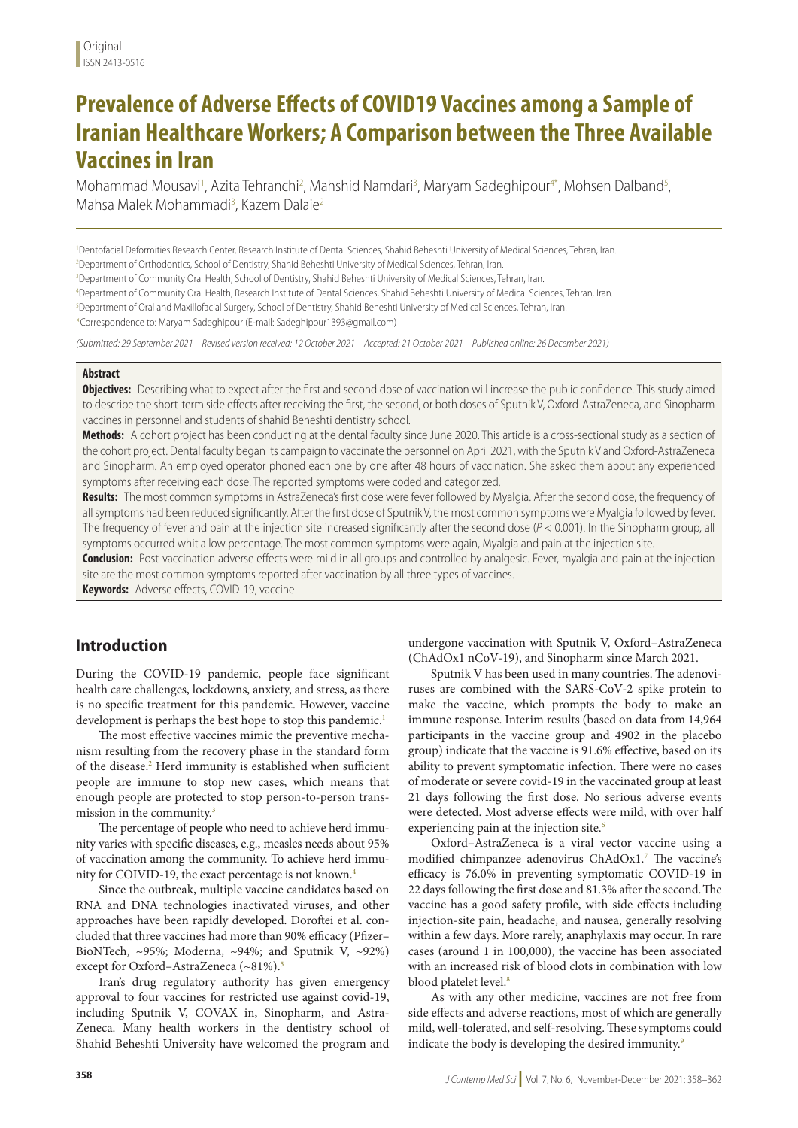# **Prevalence of Adverse Effects of COVID19 Vaccines among a Sample of Iranian Healthcare Workers; A Comparison between the Three Available Vaccines in Iran**

Mohammad Mousavi<sup>1</sup>, Azita Tehranchi<sup>2</sup>, Mahshid Namdari<sup>3</sup>, Maryam Sadeghipour<sup>4\*</sup>, Mohsen Dalband<sup>5</sup>, Mahsa Malek Mohammadi<sup>3</sup>, Kazem Dalaie<sup>2</sup>

1 Dentofacial Deformities Research Center, Research Institute of Dental Sciences, Shahid Beheshti University of Medical Sciences, Tehran, Iran.

2 Department of Orthodontics, School of Dentistry, Shahid Beheshti University of Medical Sciences, Tehran, Iran.

3 Department of Community Oral Health, School of Dentistry, Shahid Beheshti University of Medical Sciences, Tehran, Iran.

4 Department of Community Oral Health, Research Institute of Dental Sciences, Shahid Beheshti University of Medical Sciences, Tehran, Iran.

5 Department of Oral and Maxillofacial Surgery, School of Dentistry, Shahid Beheshti University of Medical Sciences, Tehran, Iran.

\*Correspondence to: Maryam Sadeghipour (E-mail: Sadeghipour1393@gmail.com)

*(Submitted: 29 September 2021 – Revised version received: 12 October 2021 – Accepted: 21 October 2021 – Published online: 26 December 2021)*

### **Abstract**

**Objectives:** Describing what to expect after the first and second dose of vaccination will increase the public confidence. This study aimed to describe the short-term side effects after receiving the first, the second, or both doses of Sputnik V, Oxford-AstraZeneca, and Sinopharm vaccines in personnel and students of shahid Beheshti dentistry school.

**Methods:** A cohort project has been conducting at the dental faculty since June 2020. This article is a cross-sectional study as a section of the cohort project. Dental faculty began its campaign to vaccinate the personnel on April 2021, with the Sputnik V and Oxford-AstraZeneca and Sinopharm. An employed operator phoned each one by one after 48 hours of vaccination. She asked them about any experienced symptoms after receiving each dose. The reported symptoms were coded and categorized.

**Results:** The most common symptoms in AstraZeneca's first dose were fever followed by Myalgia. After the second dose, the frequency of all symptoms had been reduced significantly. After the first dose of Sputnik V, the most common symptoms were Myalgia followed by fever. The frequency of fever and pain at the injection site increased significantly after the second dose (*P* < 0.001). In the Sinopharm group, all symptoms occurred whit a low percentage. The most common symptoms were again, Myalgia and pain at the injection site.

**Conclusion:** Post-vaccination adverse effects were mild in all groups and controlled by analgesic. Fever, myalgia and pain at the injection site are the most common symptoms reported after vaccination by all three types of vaccines.

**Keywords:** Adverse effects, COVID-19, vaccine

## **Introduction**

During the COVID-19 pandemic, people face significant health care challenges, lockdowns, anxiety, and stress, as there is no specific treatment for this pandemic. However, vaccine development is perhaps the best hope to stop this pandemic.<sup>1</sup>

The most effective vaccines mimic the preventive mechanism resulting from the recovery phase in the standard form of the disease.2 Herd immunity is established when sufficient people are immune to stop new cases, which means that enough people are protected to stop person-to-person transmission in the community.3

The percentage of people who need to achieve herd immunity varies with specific diseases, e.g., measles needs about 95% of vaccination among the community. To achieve herd immunity for COIVID-19, the exact percentage is not known.4

Since the outbreak, multiple vaccine candidates based on RNA and DNA technologies inactivated viruses, and other approaches have been rapidly developed. Doroftei et al. concluded that three vaccines had more than 90% efficacy (Pfizer– BioNTech, ~95%; Moderna, ~94%; and Sputnik V, ~92%) except for Oxford-AstraZeneca (~81%).<sup>5</sup>

Iran's drug regulatory authority has given emergency approval to four vaccines for restricted use against covid-19, including Sputnik V, COVAX in, Sinopharm, and Astra-Zeneca. Many health workers in the dentistry school of Shahid Beheshti University have welcomed the program and

undergone vaccination with Sputnik V, Oxford–AstraZeneca (ChAdOx1 nCoV-19), and Sinopharm since March 2021.

Sputnik V has been used in many countries. The adenoviruses are combined with the SARS-CoV-2 spike protein to make the vaccine, which prompts the body to make an immune response. Interim results (based on data from 14,964 participants in the vaccine group and 4902 in the placebo group) indicate that the vaccine is 91.6% effective, based on its ability to prevent symptomatic infection. There were no cases of moderate or severe covid-19 in the vaccinated group at least 21 days following the first dose. No serious adverse events were detected. Most adverse effects were mild, with over half experiencing pain at the injection site.<sup>6</sup>

Oxford–AstraZeneca is a viral vector vaccine using a modified chimpanzee adenovirus ChAdOx1.7 The vaccine's efficacy is 76.0% in preventing symptomatic COVID-19 in 22 days following the first dose and 81.3% after the second.The vaccine has a good safety profile, with side effects including injection-site pain, headache, and nausea, generally resolving within a few days. More rarely, anaphylaxis may occur. In rare cases (around 1 in 100,000), the vaccine has been associated with an increased risk of blood clots in combination with low blood platelet level.<sup>8</sup>

As with any other medicine, vaccines are not free from side effects and adverse reactions, most of which are generally mild, well-tolerated, and self-resolving. These symptoms could indicate the body is developing the desired immunity.<sup>9</sup>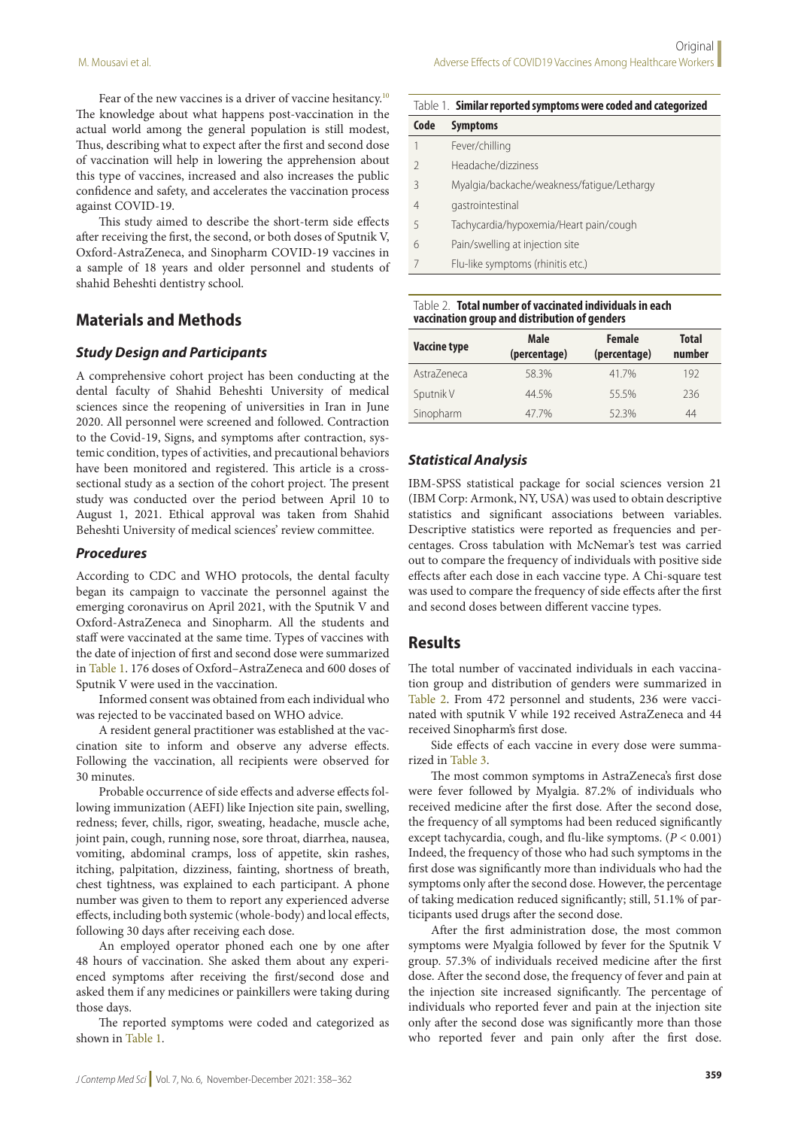Fear of the new vaccines is a driver of vaccine hesitancy.<sup>10</sup> The knowledge about what happens post-vaccination in the actual world among the general population is still modest, Thus, describing what to expect after the first and second dose of vaccination will help in lowering the apprehension about this type of vaccines, increased and also increases the public confidence and safety, and accelerates the vaccination process against COVID-19.

This study aimed to describe the short-term side effects after receiving the first, the second, or both doses of Sputnik V, Oxford-AstraZeneca, and Sinopharm COVID-19 vaccines in a sample of 18 years and older personnel and students of shahid Beheshti dentistry school.

## **Materials and Methods**

### *Study Design and Participants*

A comprehensive cohort project has been conducting at the dental faculty of Shahid Beheshti University of medical sciences since the reopening of universities in Iran in June 2020. All personnel were screened and followed. Contraction to the Covid-19, Signs, and symptoms after contraction, systemic condition, types of activities, and precautional behaviors have been monitored and registered. This article is a crosssectional study as a section of the cohort project. The present study was conducted over the period between April 10 to August 1, 2021. Ethical approval was taken from Shahid Beheshti University of medical sciences' review committee.

#### *Procedures*

According to CDC and WHO protocols, the dental faculty began its campaign to vaccinate the personnel against the emerging coronavirus on April 2021, with the Sputnik V and Oxford-AstraZeneca and Sinopharm. All the students and staff were vaccinated at the same time. Types of vaccines with the date of injection of first and second dose were summarized in Table 1. 176 doses of Oxford–AstraZeneca and 600 doses of Sputnik V were used in the vaccination.

Informed consent was obtained from each individual who was rejected to be vaccinated based on WHO advice.

A resident general practitioner was established at the vaccination site to inform and observe any adverse effects. Following the vaccination, all recipients were observed for 30 minutes.

Probable occurrence of side effects and adverse effects following immunization (AEFI) like Injection site pain, swelling, redness; fever, chills, rigor, sweating, headache, muscle ache, joint pain, cough, running nose, sore throat, diarrhea, nausea, vomiting, abdominal cramps, loss of appetite, skin rashes, itching, palpitation, dizziness, fainting, shortness of breath, chest tightness, was explained to each participant. A phone number was given to them to report any experienced adverse effects, including both systemic (whole-body) and local effects, following 30 days after receiving each dose.

An employed operator phoned each one by one after 48 hours of vaccination. She asked them about any experienced symptoms after receiving the first/second dose and asked them if any medicines or painkillers were taking during those days.

The reported symptoms were coded and categorized as shown in Table 1.

| Code          | <b>Symptoms</b>                            |
|---------------|--------------------------------------------|
| 1             | Fever/chilling                             |
| $\mathcal{D}$ | Headache/dizziness                         |
| 3             | Myalgia/backache/weakness/fatique/Lethargy |
| 4             | gastrointestinal                           |
| 5             | Tachycardia/hypoxemia/Heart pain/cough     |
| 6             | Pain/swelling at injection site            |
|               | Flu-like symptoms (rhinitis etc.)          |

Table 2. **Total number of vaccinated individuals in each vaccination group and distribution of genders**

| <b>Vaccine type</b> | <b>Male</b><br>(percentage) | <b>Female</b><br>(percentage) | <b>Total</b><br>number |  |
|---------------------|-----------------------------|-------------------------------|------------------------|--|
| AstraZeneca         | 58.3%                       | 417%                          | 192                    |  |
| Sputnik V           | 44.5%                       | 55.5%                         | 236                    |  |
| Sinopharm           | 477%                        | 52.3%                         | 44                     |  |

#### *Statistical Analysis*

IBM-SPSS statistical package for social sciences version 21 (IBM Corp: Armonk, NY, USA) was used to obtain descriptive statistics and significant associations between variables. Descriptive statistics were reported as frequencies and percentages. Cross tabulation with McNemar's test was carried out to compare the frequency of individuals with positive side effects after each dose in each vaccine type. A Chi-square test was used to compare the frequency of side effects after the first and second doses between different vaccine types.

## **Results**

The total number of vaccinated individuals in each vaccination group and distribution of genders were summarized in Table 2. From 472 personnel and students, 236 were vaccinated with sputnik V while 192 received AstraZeneca and 44 received Sinopharm's first dose.

Side effects of each vaccine in every dose were summarized in Table 3.

The most common symptoms in AstraZeneca's first dose were fever followed by Myalgia. 87.2% of individuals who received medicine after the first dose. After the second dose, the frequency of all symptoms had been reduced significantly except tachycardia, cough, and flu-like symptoms. (*P* < 0.001) Indeed, the frequency of those who had such symptoms in the first dose was significantly more than individuals who had the symptoms only after the second dose. However, the percentage of taking medication reduced significantly; still, 51.1% of participants used drugs after the second dose.

After the first administration dose, the most common symptoms were Myalgia followed by fever for the Sputnik V group. 57.3% of individuals received medicine after the first dose. After the second dose, the frequency of fever and pain at the injection site increased significantly. The percentage of individuals who reported fever and pain at the injection site only after the second dose was significantly more than those who reported fever and pain only after the first dose.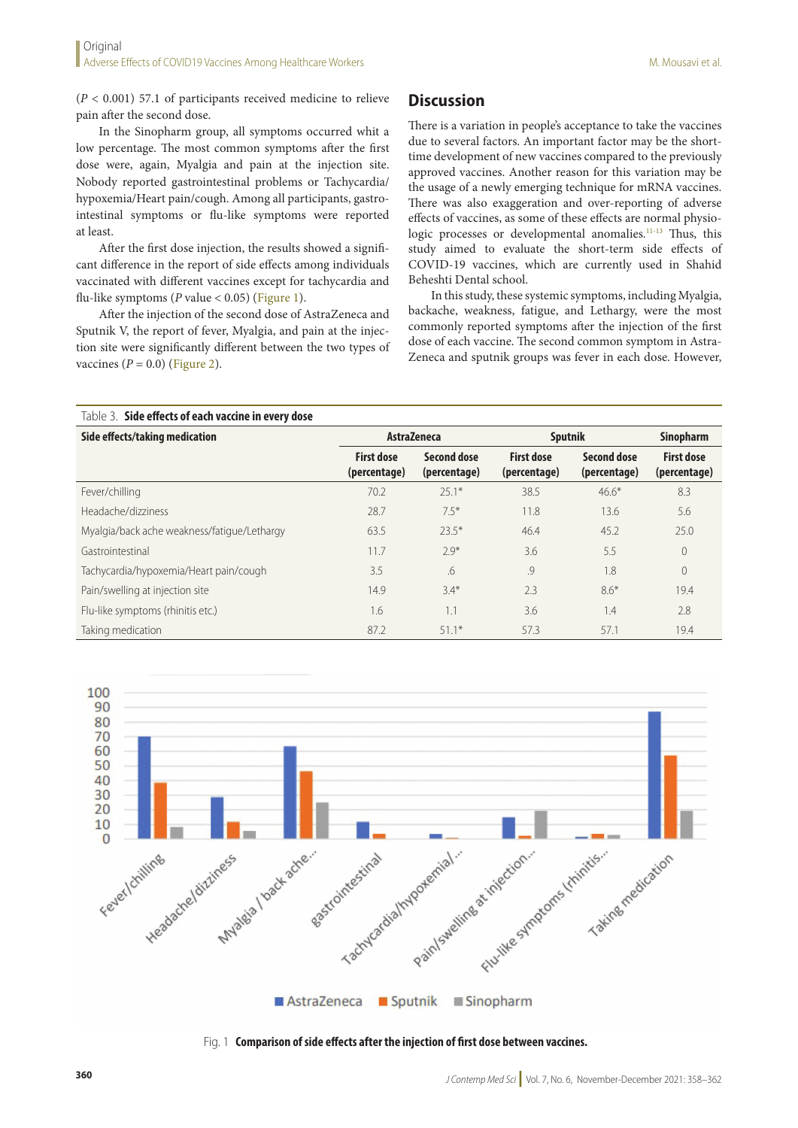(*P* < 0.001) 57.1 of participants received medicine to relieve pain after the second dose.

In the Sinopharm group, all symptoms occurred whit a low percentage. The most common symptoms after the first dose were, again, Myalgia and pain at the injection site. Nobody reported gastrointestinal problems or Tachycardia/ hypoxemia/Heart pain/cough. Among all participants, gastrointestinal symptoms or flu-like symptoms were reported at least.

After the first dose injection, the results showed a significant difference in the report of side effects among individuals vaccinated with different vaccines except for tachycardia and flu-like symptoms (*P* value < 0.05) (Figure 1).

After the injection of the second dose of AstraZeneca and Sputnik V, the report of fever, Myalgia, and pain at the injection site were significantly different between the two types of vaccines  $(P = 0.0)$  (Figure 2).

## **Discussion**

There is a variation in people's acceptance to take the vaccines due to several factors. An important factor may be the shorttime development of new vaccines compared to the previously approved vaccines. Another reason for this variation may be the usage of a newly emerging technique for mRNA vaccines. There was also exaggeration and over-reporting of adverse effects of vaccines, as some of these effects are normal physiologic processes or developmental anomalies.<sup>11-13</sup> Thus, this study aimed to evaluate the short-term side effects of COVID-19 vaccines, which are currently used in Shahid Beheshti Dental school.

In this study, these systemic symptoms, including Myalgia, backache, weakness, fatigue, and Lethargy, were the most commonly reported symptoms after the injection of the first dose of each vaccine. The second common symptom in Astra-Zeneca and sputnik groups was fever in each dose. However,

| Table 3. Side effects of each vaccine in every dose |                                   |                                    |                                   |                                    |                                   |
|-----------------------------------------------------|-----------------------------------|------------------------------------|-----------------------------------|------------------------------------|-----------------------------------|
| Side effects/taking medication                      | AstraZeneca                       |                                    | Sputnik                           |                                    | <b>Sinopharm</b>                  |
|                                                     | <b>First dose</b><br>(percentage) | <b>Second dose</b><br>(percentage) | <b>First dose</b><br>(percentage) | <b>Second dose</b><br>(percentage) | <b>First dose</b><br>(percentage) |
| Fever/chilling                                      | 70.2                              | $251*$                             | 38.5                              | $46.6*$                            | 8.3                               |
| Headache/dizziness                                  | 28.7                              | $7.5*$                             | 11.8                              | 13.6                               | 5.6                               |
| Myalgia/back ache weakness/fatique/Lethargy         | 63.5                              | $23.5*$                            | 46.4                              | 45.2                               | 25.0                              |
| Gastrointestinal                                    | 11.7                              | $7.9*$                             | 3.6                               | 5.5                                | $\overline{0}$                    |
| Tachycardia/hypoxemia/Heart pain/cough              | 3.5                               | .6                                 | .9                                | 1.8                                | $\theta$                          |
| Pain/swelling at injection site                     | 14.9                              | $3.4*$                             | 2.3                               | $8.6*$                             | 19.4                              |
| Flu-like symptoms (rhinitis etc.)                   | 1.6                               | 1.1                                | 3.6                               | 1.4                                | 2.8                               |
| Taking medication                                   | 87.2                              | $51.1*$                            | 57.3                              | 57.1                               | 19.4                              |



Fig. 1 **Comparison of side effects after the injection of first dose between vaccines.**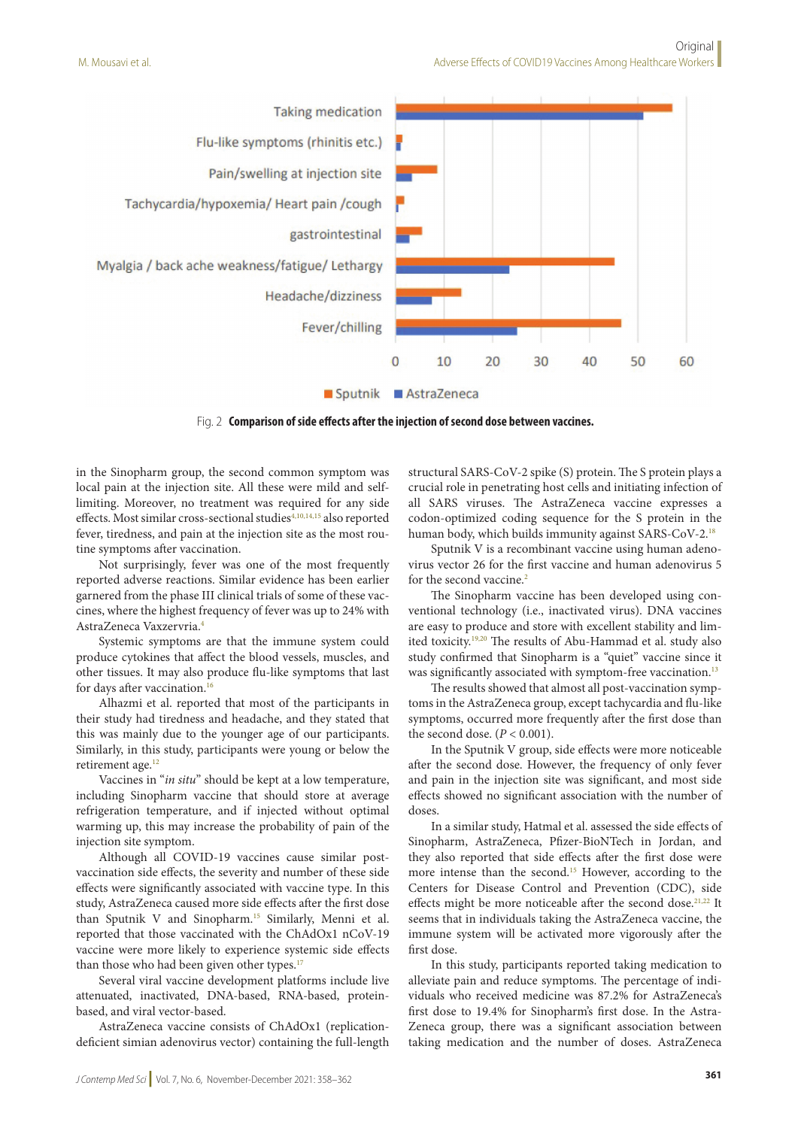

Fig. 2 **Comparison of side effects after the injection of second dose between vaccines.**

in the Sinopharm group, the second common symptom was local pain at the injection site. All these were mild and selflimiting. Moreover, no treatment was required for any side effects. Most similar cross-sectional studies<sup>4,10,14,15</sup> also reported fever, tiredness, and pain at the injection site as the most routine symptoms after vaccination.

Not surprisingly, fever was one of the most frequently reported adverse reactions. Similar evidence has been earlier garnered from the phase III clinical trials of some of these vaccines, where the highest frequency of fever was up to 24% with AstraZeneca Vaxzervria.4

Systemic symptoms are that the immune system could produce cytokines that affect the blood vessels, muscles, and other tissues. It may also produce flu-like symptoms that last for days after vaccination.<sup>16</sup>

Alhazmi et al. reported that most of the participants in their study had tiredness and headache, and they stated that this was mainly due to the younger age of our participants. Similarly, in this study, participants were young or below the retirement age.<sup>12</sup>

Vaccines in "*in situ*" should be kept at a low temperature, including Sinopharm vaccine that should store at average refrigeration temperature, and if injected without optimal warming up, this may increase the probability of pain of the injection site symptom.

Although all COVID-19 vaccines cause similar postvaccination side effects, the severity and number of these side effects were significantly associated with vaccine type. In this study, AstraZeneca caused more side effects after the first dose than Sputnik V and Sinopharm.15 Similarly, Menni et al. reported that those vaccinated with the ChAdOx1 nCoV-19 vaccine were more likely to experience systemic side effects than those who had been given other types. $17$ 

Several viral vaccine development platforms include live attenuated, inactivated, DNA-based, RNA-based, proteinbased, and viral vector-based.

AstraZeneca vaccine consists of ChAdOx1 (replicationdeficient simian adenovirus vector) containing the full-length

structural SARS-CoV-2 spike (S) protein. The S protein plays a crucial role in penetrating host cells and initiating infection of all SARS viruses. The AstraZeneca vaccine expresses a codon-optimized coding sequence for the S protein in the human body, which builds immunity against SARS-CoV-2.18

Sputnik V is a recombinant vaccine using human adenovirus vector 26 for the first vaccine and human adenovirus 5 for the second vaccine.<sup>3</sup>

The Sinopharm vaccine has been developed using conventional technology (i.e., inactivated virus). DNA vaccines are easy to produce and store with excellent stability and limited toxicity.19,20 The results of Abu-Hammad et al. study also study confirmed that Sinopharm is a "quiet" vaccine since it was significantly associated with symptom-free vaccination.<sup>13</sup>

The results showed that almost all post-vaccination symptoms in the AstraZeneca group, except tachycardia and flu-like symptoms, occurred more frequently after the first dose than the second dose.  $(P < 0.001)$ .

In the Sputnik V group, side effects were more noticeable after the second dose. However, the frequency of only fever and pain in the injection site was significant, and most side effects showed no significant association with the number of doses.

In a similar study, Hatmal et al. assessed the side effects of Sinopharm, AstraZeneca, Pfizer-BioNTech in Jordan, and they also reported that side effects after the first dose were more intense than the second.15 However, according to the Centers for Disease Control and Prevention (CDC), side effects might be more noticeable after the second dose.<sup>21,22</sup> It seems that in individuals taking the AstraZeneca vaccine, the immune system will be activated more vigorously after the first dose.

In this study, participants reported taking medication to alleviate pain and reduce symptoms. The percentage of individuals who received medicine was 87.2% for AstraZeneca's first dose to 19.4% for Sinopharm's first dose. In the Astra-Zeneca group, there was a significant association between taking medication and the number of doses. AstraZeneca